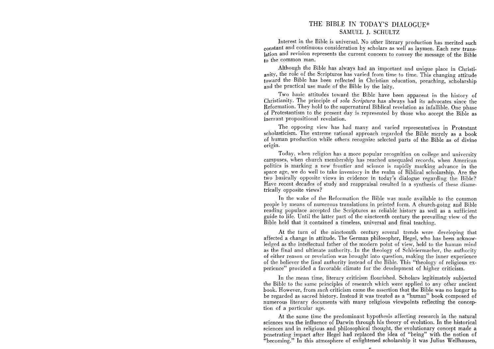## THE BIBLE IN TODAY'S DIALOGUE\* SAMUEL 1. SCHULTZ

Interest in the Bible is universal. No other literary production has merited such constant and continuous consideration by scholars as well as laymen. Each new translation and revision represents the current concern to convey the message of the Bible to the common man.

Although the Bible has always had an important and unique place in Christianity, the role of the Scriptures has varied from time to time. This changing attitude toward the Bible has been reflected in Christian education, preaching, scholarship and the practical use made of the Bible by the laity.

Two basic attitudes toward the Bible have been apparent in the history of Christianity. The principle of *sola Scriptura* has always had its advocates since the Reformation. They hold to the supernatural Biblical revelation as infallible. One phase of Protestantism to the present day is represented by those who accept the Bible as inerrant propositional revelation.

The opposing view has had many and varied representatives in Protestant scholasticism. The extreme rational approach regarded the Bible merely as a book of human production while others recognize selected parts of the Bible as of divine origin.

Today, when religion has a more popular recognition on college and university campuses, when church membership has reached unequaled records, when American politics is marking a new frontier and science is rapidly marking advance in the space age, we do well to take inventory in the realm of Biblical scholarship. Are the two basically opposite views in evidence in today's dialogue regarding the Bible? Have recent decades of study and reappraisal resulted in a synthesis of these diametrically opposite views?

In the wake of the Reformation the Bible was made available to the common people by means of numerous translations in printed form. A church-going and Bible reading populace accepted the Scriptures as reliable history as well as a sufficient guide to life. Until the latter part of the nineteenth century the prevailing view of the Bible held that it contained a timeless, universal and final teaching.

At the turn of the nineteenth century several trends were developing that affected a change in attitude. The German philosopher, Hegel, who has been acknowledged as the intellectual father of the modern point of view, held to the human mind as the final and ultimate authority. In the theology of Schleiermacher, the authority of either reason or revelation was brought into question, making the inner experience of the believer the final authority instead of the Bible. This "theology of religious experience" provided a favorable climate for the development of higher criticism.

In the mean time, literary criticism flourished. Scholars legitimately subjected the Bible to the same principles of research which were applied to any other ancient book. However, from *such* criticism came the assertion that the Bible was no longer to be regarded as sacred history. Instead it was treated as a "human" book composed of numerous literary documents with many religious viewpoints reflecting the conception of a particular age.

At the same time the predominant hypothesis affecting research in the natural sciences was the influence of Darwin through his theory of evolution. In the historical sciences and in religious and philosophical thought, the evolutionary concept made a penetrating impact after Hegel had replaced the idea of "being" with the notion of "becoming." In this atmosphere of enlightened scholarship it was lulius Wellhausen,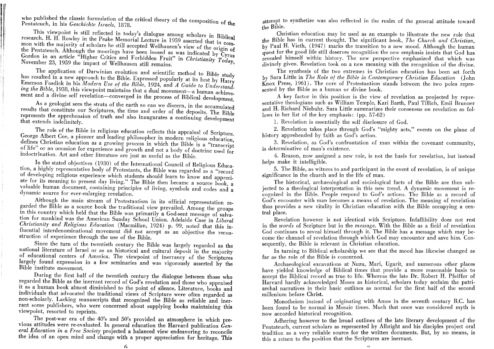who published the classic formulation of the critical theory of the composition of the Pentateuch, in his Geschichte Israels, 1878.

This viewpoint is still reflected in today's dialogue among scholars in Biblical research. H. H. Rowley in the Peake Memorial Lecture in 1959 asserted that in common with the majority of scholars he still accepted Wellhausen's view of the origin of the Pentateuch. Although the moorings have been loosed as was indicated by Cyrus Gordon in an article "Higher Critics and Forbidden Fruit" in Christianity Today, November 23, 1959 the impact of Wellhausen still remains.

The application of Darwinian evolution and scientific method to Bible study has resulted in a new approach to the Bible. Expressed popularly at its best by Harry Emerson Fosdick in his Modern Use of the Bible, 1924, and A Guide to Understand. ing the Bible, 1938, this viewpoint maintains that a dual movement—a human achievement and a divine self revelation—converged in the process of Biblical development.

As a geologist sees the strata of the earth so can we discern, in the accumulated results that constitute our Scriptures, the time and order of the deposits. The Bible represents the apprehension of truth and also inaugurates a continuing development that extends indefinitely.

The role of the Bible in religious education reflects this appraisal of Scripture. George Albert Coe, a pioneer and leading philosopher in modern religious education. defines Christian education as a growing process in which the Bible is a "transcript" of life" or an occasion for experience and growth and not a body of doctrine used for indoctrination. Art and other literature are just as useful as the Bible.

In the stated objectives (1930) of the International Council of Religious Education, a highly representative body of Protestants, the Bible was regarded as a "record of developing religious experience which students should learn to know and appreciate for its meaning to present day living." The Bible then became a source book, a valuable human document, containing principles of living, symbols and codes and a dynamic source for ever-enlarging revelation.

Although the main stream of Protestantism in its official representation regarded the Bible as a source book the traditional view prevailed. Among the groups in this country which held that the Bible was primarily a God-sent message of salvation for mankind was the American Sunday School Union. Adelaide Case in Liberal Christianity and Religious Education (Macmillan, 1924) p. 99, noted that this influential interdenominational movement did not accept as an objective the reconstruction of experience through the use of the Bible.

Since the turn of the twentieth century the Bible was largely regarded as the national literature of Israel or as an historical and cultural deposit in the majority of educational centers of America. The viewpoint of inerrancy of the Scriptures largely found expression in a few seminaries and was vigorously asserted by the Bible institute movement.

During the first half of the twentieth century the dialogue between those who regarded the Bible as the inerrant record of God's revelation and those who appraised it as a human book almost diminished to the point of silence. Literature, books and individuals that advocated the traditional views of Scripture were often regarded as non-scholarly. Lacking manuscripts that recognized the Bible as reliable and inerrant some publishers, who were concerned about supplying books maintaining this viewpoint, resorted to reprints.

The post-war era of the 40's and 50's provided an atmosphere in which previous attitudes were re-evaluated. In general education the Harvard publication General Education in a Free Society projected a balanced view endeavoring to reconcile the idea of an open mind and change with a proper appreciation for heritage. This attempt to synthetize was also reflected in the realm of the general attitude toward the Bible.

Christian education may be used as an example to illustrate the new role that the Bible has in current thought. The significant book, The Church and Christian, by Paul H. Vieth, (1947) marks the transition to a new mood. Although the human quest for the good life still deserves recognition the new emphasis insists that God has revealed himself within history. The new perspective emphasized that which was divinely given. Revelation took on a new meaning with the recognition of the divine.

The synthesis of the two extremes in Christian education has been set forth by Sara Little in The Role of the Bible in Contemporary Christian Education (John Knox Press, 1961). The core of Protestantism stands between the two poles represented by the Bible as a human or divine book.

A key factor in this position is the view of revelation as projected by representative theologians such as William Temple, Karl Barth, Paul Tillich, Emil Brunner and H. Richard Niebuhr. Sara Little summarizes their consensus on revelation as follows in her list of the key emphasis:  $(pp. 57-62)$ 

1. Revelation is essentially the self disclosure of God.

2. Revelation takes place through God's "mighty acts," events on the plane of history apprehended by faith as God's action.

3. Revelation, as God's confrontation of man within the covenant community, is determinative of man's existence.

4. Reason, now assigned a new role, is not the basis for revelation, but instead helps make it intelligible.

5. The Bible, as witness to and participant in the event of revelation, is of unique significance in the church and in the life of man.

The historical, archaeological and sociological facts of the Bible are thus subjected to a theological interpretation in this new trend. A dynamic movement is recognized in the Bible. People respond to God's actions. The Bible as a record of God's encounter with man becomes a means of revelation. The meaning of revelation thus provides a new vitality in Christian education with the Bible occupying a central place.

Revelation however is not identical with Scripture. Infallibility does not rest in the words of Scripture but in the message. With the Bible as a field of revelation God continues to reveal himself through it. The Bible has a message which may become the channel of revelation through which God may encounter and save him. Consequently, the Bible is relevant in Christian education.

In turning to Biblical scholarship we see that the mood has likewise changed as far as the role of the Bible is concerned.

Archaeological excavations at Nuzu, Mari, Ugarit, and numerous other places have vielded knowledge of Biblical times that provide a more reasonable basis to accept the Biblical record as true to life. Whereas the late Dr. Robert H. Pfeiffer of Harvard hardly acknowledged Moses as historical, scholars today acclaim the patriarchal narratives in their basic outlines as normal for the first half of the second millenium before Christ.

Monotheism instead of originating with Amos in the seventh century B.C. has been found to be normal in Mosaic times. Much that once was considered myth is now accorded historical recognition.

Adhering however to the broad outlines of the late literary development of the Pentateuch, current scholars as represented by Albright and his disciples project oral tradition as a very reliable source for the written documents. But, by no means, is this a return to the position that the Scriptures are inerrant.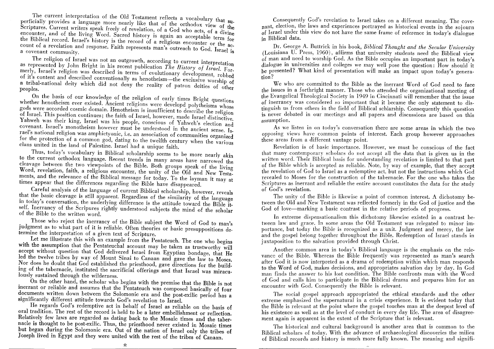The current interpretation of the Old Testament reflects a vocabulary that superficially provides a language more nearly like that of the orthodox view of the Scriptures. Current writers speak freely of revelation, of a God who acts, of a divine encounter, and of the living Word. Sacred history is again an acceptable term for the Biblical record. Israel's history is the record of a religious encounter or the account of a revelation and response. Faith represents man's outreach to God. Israel is a covenant community.

The religion of Israel was not an outgrowth, according to current interpretation as represented by John Bright in his recent publication The History of Israel. Formerly, Israel's religion was described in terms of evolutionary development, robbed of it's content and described conventionally as henotheism—the exclusive worship of a tribal-national deity which did not deny the reality of patron deities of other peoples.

On the basis of our knowledge of the religion of early times Bright questions whether henotheism ever existed. Ancient religions were developd polytheisms whose gods were accorded cosmic domain. Henotheism is insufficient to describe the religion of Israel. This position continues; the faith of Israel, however, made Israel distinctive. Yahweh was their king, Israel was his people, conscious of Yahweh's election and covenant. Israel's monotheism however must be understood in the ancient sense. Israel's national religion was amphictyonic, i.e. an association of communities organized for the protection of a common god, dating to the twelfth century when the various clans united in the land of Palestine. Israel had a unique faith.

Thus, today's vocabulary in Biblical scholarship seems to be more nearly akin to the current orthodox language. Recent trends in many areas have narrowed the cleavage between the two viewpoints of the Bible. Both groups speak of the living Word, revelation, faith, a religious encounter, the unity of the Old and New Testaments, and the relevance of the Biblical message for today. To the layman it may at times appear that the differences regarding the Bible have disappeared.

Careful analysis of the language of current Biblical scholarship, however, reveals that the basic cleavage is still apparent. Regardless of the similarity of the language in today's conversation, the underlying difference is the attitude toward the Bible itself. Inerrancy of the Scripures rightly understood subjects the mind of the scholar of the Bible to the written word.

Those who reject the inerrancy of the Bible subject the Word of God to man's judgment as to what part of it is reliable. Often theories or basic presuppositions determine the interpretation of a given text of Scripture.

Let me illustrate this with an example from the Pentateuch. The one who begins with the assumption that the Pentateuchal account may be taken as trustworthy will accept without question that God delivered Israel from Egyptian bondage, that He led the twelve tribes by way of Mount Sinai to Canaan and gave the law to Moses. Nor does he doubt that God established the priesthood, gave directions for the building of the tabernacle, instituted the sacrificial offerings and that Israel was miraculously sustained through the wilderness.

On the other hand, the scholar who begins with the premise that the Bible is not inerrant or reliable and assumes that the Pentateuch was composed basically of four documents written down between the Solomonic era and the post-exilic period has a significantly different attitude towards God's revelation to Israel.

He regards God's redemptive act in behalf of Israel as reliable on the basis of oral tradition. The rest of the record is held to be a later embellishment or reflection. Relatively few laws are regarded as dating back to the Mosaic times and the tabernacle is thought to be post-exilic. Thus, the priesthood never existed in Mosaic times but began during the Solomonic era. Out of the nation of Israel only the tribes of Joseph lived in Egypt and they were united with the rest of the tribes of Canaan.

Consequently God's revelation to Israel takes on a different meaning. The covenant. election, the laws and experiences portrayed as historical events in the sojourn of Israel under this view do not have the same frame of reference in today's dialogue in Biblical data.

Dr. George A. Buttrick in his book, Biblical Thought and the Secular University (Louisiana U. Press, 1960), affirms that university students need the Biblical view of man and need to worship God. As the Bible occupies an important part in today's dialogue in universities and colleges we may well pose the question: How should it be presented? What kind of presentation will make an impact upon today's genera- $\frac{1}{2}$ 

We who are committed to the Bible as the inerrant Word of God need to face the issues in a forthright manner. Those who attended the organizational meeting of the Evangelical Theological Society in 1949 in Cincinnati will remember that the issue of inerrancy was considered so important that it became the only statement to distinguish us from others in the field of Biblical schlarship. Consequently this question is never debated in our meetings and all papers and discussions are based on this assumption.

As we listen in on today's conversation there are some areas in which the two opposing views have common points of interest. Each group however approaches these areas from a different vantage point.

Revelation is of basic importance. However, we must be conscious of the fact that many contemporary scholars do not accept all the data that is given us in the written word. Their Biblical basis for understanding revelation is limited to that part of the Bible which is accepted as reliable. Note, by way of example, that they accept the revelation of God to Israel as a redemptive act. but not the instructions which God revealed to Moses for the construction of the tabernacle. For the one who takes the Scriptures as inerrant and reliable the entire account constitutes the data for the study of God's revelation.

The unity of the Bible is likewise a point of common interest. A dichotomy between the Old and New Testament was reflected formerly in the God of justice and the God of love—marking a basic contrast in the relative periods of progress.

In extreme dispensationalism this dichotomy likewise existed in a contrast between law and grace. In some areas the Old Testament was relegated to minor importance, but today the Bible is recognized as a unit. Judgment and mercy, the law and the gospel belong together throughout the Bible. Redemption of Israel stands in juxtaposition to the salvation provided through Christ.

Another common area in today's Biblical language is the emphasis on the relevance of the Bible. Whereas the Bible frequently was represented as man's search after God it is now interpreted as a drama of redemption within which man responds to the Word of God, makes decisions, and appropriates salvation day by day. In God man finds the answer to his lost condition. The Bible confronts man with the Word of God and calls him to participate in the Biblical drama and prepares him for an encounter with God. Consequently the Bible is relevant.

The social gospel approach appropriated the ethical standards and the other extreme emphasized the supernatural in a crisis experience. It is evident today that the Bible is relevant at the point where the gospel touches man at the deepest level of his existence as well as at the level of conduct in every day life. The area of disagreement again is apparent in the extent of the Scripture that is relevant.

The historical and cultural background is another area that is common to the Biblical scholars of today. With the advance of archaeological discoveries the milieu of Biblical records and history is much more fully known. The meaning and signifi